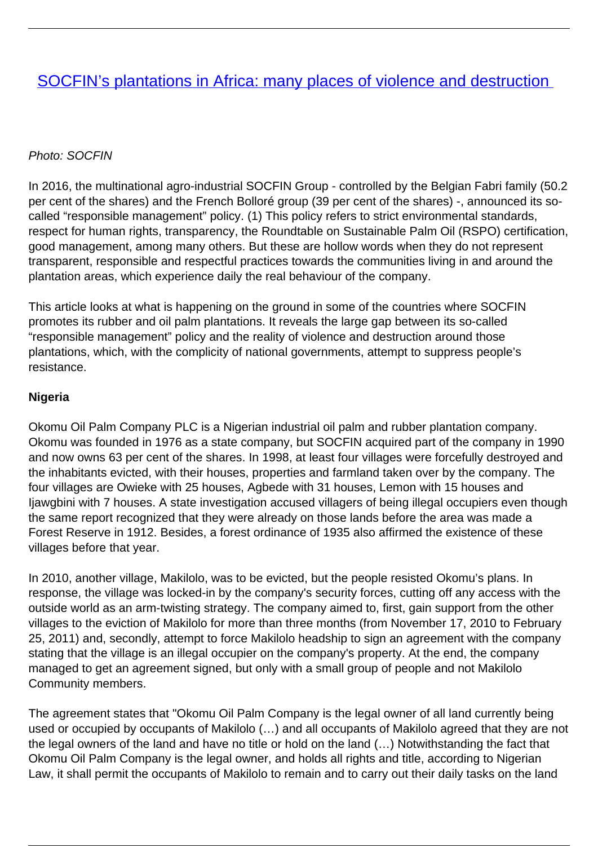# Photo: SOCFIN

In 2016, the multinational agro-industrial SOCFIN Group - controlled by the Belgian Fabri family (50.2 per cent of the shares) and the French Bolloré group (39 per cent of the shares) -, announced its socalled "responsible management" policy. (1) This policy refers to strict environmental standards, respect for human rights, transparency, the Roundtable on Sustainable Palm Oil (RSPO) certification, good management, among many others. But these are hollow words when they do not represent transparent, responsible and respectful practices towards the communities living in and around the plantation areas, which experience daily the real behaviour of the company.

This article looks at what is happening on the ground in some of the countries where SOCFIN promotes its rubber and oil palm plantations. It reveals the large gap between its so-called "responsible management" policy and the reality of violence and destruction around those plantations, which, with the complicity of national governments, attempt to suppress people's resistance.

# **Nigeria**

Okomu Oil Palm Company PLC is a Nigerian industrial oil palm and rubber plantation company. Okomu was founded in 1976 as a state company, but SOCFIN acquired part of the company in 1990 and now owns 63 per cent of the shares. In 1998, at least four villages were forcefully destroyed and the inhabitants evicted, with their houses, properties and farmland taken over by the company. The four villages are Owieke with 25 houses, Agbede with 31 houses, Lemon with 15 houses and Ijawgbini with 7 houses. A state investigation accused villagers of being illegal occupiers even though the same report recognized that they were already on those lands before the area was made a Forest Reserve in 1912. Besides, a forest ordinance of 1935 also affirmed the existence of these villages before that year.

In 2010, another village, Makilolo, was to be evicted, but the people resisted Okomu's plans. In response, the village was locked-in by the company's security forces, cutting off any access with the outside world as an arm-twisting strategy. The company aimed to, first, gain support from the other villages to the eviction of Makilolo for more than three months (from November 17, 2010 to February 25, 2011) and, secondly, attempt to force Makilolo headship to sign an agreement with the company stating that the village is an illegal occupier on the company's property. At the end, the company managed to get an agreement signed, but only with a small group of people and not Makilolo Community members.

The agreement states that "Okomu Oil Palm Company is the legal owner of all land currently being used or occupied by occupants of Makilolo (…) and all occupants of Makilolo agreed that they are not the legal owners of the land and have no title or hold on the land (…) Notwithstanding the fact that Okomu Oil Palm Company is the legal owner, and holds all rights and title, according to Nigerian Law, it shall permit the occupants of Makilolo to remain and to carry out their daily tasks on the land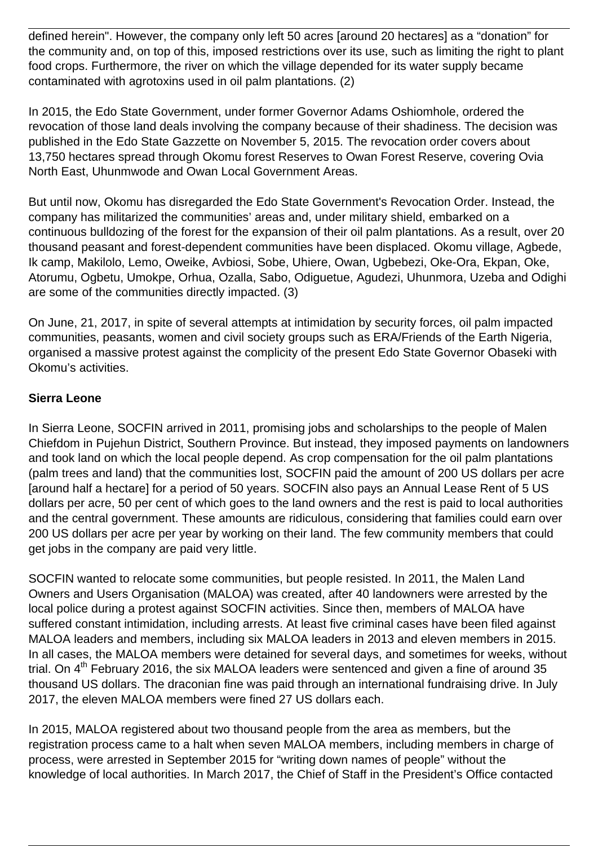defined herein". However, the company only left 50 acres [around 20 hectares] as a "donation" for the community and, on top of this, imposed restrictions over its use, such as limiting the right to plant food crops. Furthermore, the river on which the village depended for its water supply became contaminated with agrotoxins used in oil palm plantations. (2)

In 2015, the Edo State Government, under former Governor Adams Oshiomhole, ordered the revocation of those land deals involving the company because of their shadiness. The decision was published in the Edo State Gazzette on November 5, 2015. The revocation order covers about 13,750 hectares spread through Okomu forest Reserves to Owan Forest Reserve, covering Ovia North East, Uhunmwode and Owan Local Government Areas.

But until now, Okomu has disregarded the Edo State Government's Revocation Order. Instead, the company has militarized the communities' areas and, under military shield, embarked on a continuous bulldozing of the forest for the expansion of their oil palm plantations. As a result, over 20 thousand peasant and forest-dependent communities have been displaced. Okomu village, Agbede, Ik camp, Makilolo, Lemo, Oweike, Avbiosi, Sobe, Uhiere, Owan, Ugbebezi, Oke-Ora, Ekpan, Oke, Atorumu, Ogbetu, Umokpe, Orhua, Ozalla, Sabo, Odiguetue, Agudezi, Uhunmora, Uzeba and Odighi are some of the communities directly impacted. (3)

On June, 21, 2017, in spite of several attempts at intimidation by security forces, oil palm impacted communities, peasants, women and civil society groups such as ERA/Friends of the Earth Nigeria, organised a massive protest against the complicity of the present Edo State Governor Obaseki with Okomu's activities.

# **Sierra Leone**

In Sierra Leone, SOCFIN arrived in 2011, promising jobs and scholarships to the people of Malen Chiefdom in Pujehun District, Southern Province. But instead, they imposed payments on landowners and took land on which the local people depend. As crop compensation for the oil palm plantations (palm trees and land) that the communities lost, SOCFIN paid the amount of 200 US dollars per acre [around half a hectare] for a period of 50 years. SOCFIN also pays an Annual Lease Rent of 5 US dollars per acre, 50 per cent of which goes to the land owners and the rest is paid to local authorities and the central government. These amounts are ridiculous, considering that families could earn over 200 US dollars per acre per year by working on their land. The few community members that could get jobs in the company are paid very little.

SOCFIN wanted to relocate some communities, but people resisted. In 2011, the Malen Land Owners and Users Organisation (MALOA) was created, after 40 landowners were arrested by the local police during a protest against SOCFIN activities. Since then, members of MALOA have suffered constant intimidation, including arrests. At least five criminal cases have been filed against MALOA leaders and members, including six MALOA leaders in 2013 and eleven members in 2015. In all cases, the MALOA members were detained for several days, and sometimes for weeks, without trial. On 4<sup>th</sup> February 2016, the six MALOA leaders were sentenced and given a fine of around 35 thousand US dollars. The draconian fine was paid through an international fundraising drive. In July 2017, the eleven MALOA members were fined 27 US dollars each.

In 2015, MALOA registered about two thousand people from the area as members, but the registration process came to a halt when seven MALOA members, including members in charge of process, were arrested in September 2015 for "writing down names of people" without the knowledge of local authorities. In March 2017, the Chief of Staff in the President's Office contacted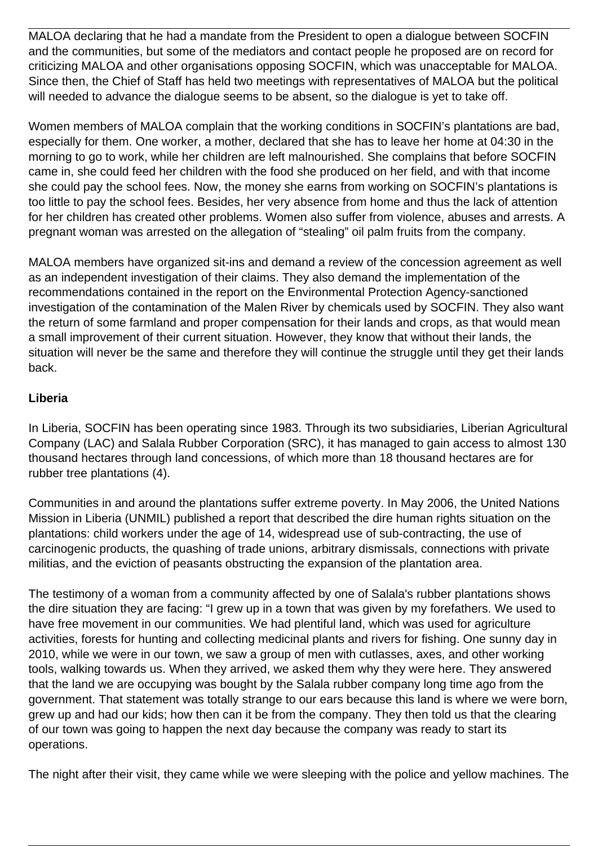MALOA declaring that he had a mandate from the President to open a dialogue between SOCFIN and the communities, but some of the mediators and contact people he proposed are on record for criticizing MALOA and other organisations opposing SOCFIN, which was unacceptable for MALOA. Since then, the Chief of Staff has held two meetings with representatives of MALOA but the political will needed to advance the dialogue seems to be absent, so the dialogue is yet to take off.

Women members of MALOA complain that the working conditions in SOCFIN's plantations are bad, especially for them. One worker, a mother, declared that she has to leave her home at 04:30 in the morning to go to work, while her children are left malnourished. She complains that before SOCFIN came in, she could feed her children with the food she produced on her field, and with that income she could pay the school fees. Now, the money she earns from working on SOCFIN's plantations is too little to pay the school fees. Besides, her very absence from home and thus the lack of attention for her children has created other problems. Women also suffer from violence, abuses and arrests. A pregnant woman was arrested on the allegation of "stealing" oil palm fruits from the company.

MALOA members have organized sit-ins and demand a review of the concession agreement as well as an independent investigation of their claims. They also demand the implementation of the recommendations contained in the report on the Environmental Protection Agency-sanctioned investigation of the contamination of the Malen River by chemicals used by SOCFIN. They also want the return of some farmland and proper compensation for their lands and crops, as that would mean a small improvement of their current situation. However, they know that without their lands, the situation will never be the same and therefore they will continue the struggle until they get their lands back.

# **Liberia**

In Liberia, SOCFIN has been operating since 1983. Through its two subsidiaries, Liberian Agricultural Company (LAC) and Salala Rubber Corporation (SRC), it has managed to gain access to almost 130 thousand hectares through land concessions, of which more than 18 thousand hectares are for rubber tree plantations (4).

Communities in and around the plantations suffer extreme poverty. In May 2006, the United Nations Mission in Liberia (UNMIL) published a report that described the dire human rights situation on the plantations: child workers under the age of 14, widespread use of sub-contracting, the use of carcinogenic products, the quashing of trade unions, arbitrary dismissals, connections with private militias, and the eviction of peasants obstructing the expansion of the plantation area.

The testimony of a woman from a community affected by one of Salala's rubber plantations shows the dire situation they are facing: "I grew up in a town that was given by my forefathers. We used to have free movement in our communities. We had plentiful land, which was used for agriculture activities, forests for hunting and collecting medicinal plants and rivers for fishing. One sunny day in 2010, while we were in our town, we saw a group of men with cutlasses, axes, and other working tools, walking towards us. When they arrived, we asked them why they were here. They answered that the land we are occupying was bought by the Salala rubber company long time ago from the government. That statement was totally strange to our ears because this land is where we were born, grew up and had our kids; how then can it be from the company. They then told us that the clearing of our town was going to happen the next day because the company was ready to start its operations.

The night after their visit, they came while we were sleeping with the police and yellow machines. The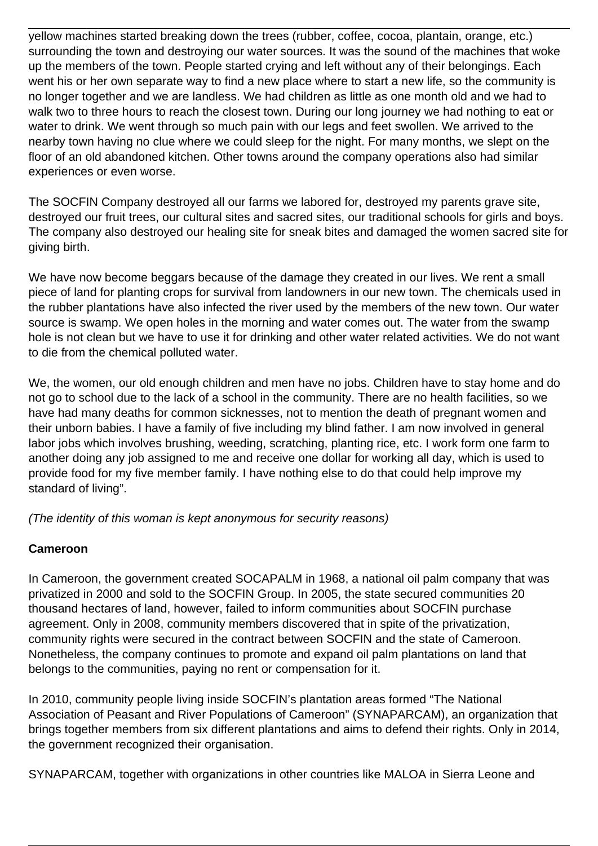yellow machines started breaking down the trees (rubber, coffee, cocoa, plantain, orange, etc.) surrounding the town and destroying our water sources. It was the sound of the machines that woke up the members of the town. People started crying and left without any of their belongings. Each went his or her own separate way to find a new place where to start a new life, so the community is no longer together and we are landless. We had children as little as one month old and we had to walk two to three hours to reach the closest town. During our long journey we had nothing to eat or water to drink. We went through so much pain with our legs and feet swollen. We arrived to the nearby town having no clue where we could sleep for the night. For many months, we slept on the floor of an old abandoned kitchen. Other towns around the company operations also had similar experiences or even worse.

The SOCFIN Company destroyed all our farms we labored for, destroyed my parents grave site, destroyed our fruit trees, our cultural sites and sacred sites, our traditional schools for girls and boys. The company also destroyed our healing site for sneak bites and damaged the women sacred site for giving birth.

We have now become beggars because of the damage they created in our lives. We rent a small piece of land for planting crops for survival from landowners in our new town. The chemicals used in the rubber plantations have also infected the river used by the members of the new town. Our water source is swamp. We open holes in the morning and water comes out. The water from the swamp hole is not clean but we have to use it for drinking and other water related activities. We do not want to die from the chemical polluted water.

We, the women, our old enough children and men have no jobs. Children have to stay home and do not go to school due to the lack of a school in the community. There are no health facilities, so we have had many deaths for common sicknesses, not to mention the death of pregnant women and their unborn babies. I have a family of five including my blind father. I am now involved in general labor jobs which involves brushing, weeding, scratching, planting rice, etc. I work form one farm to another doing any job assigned to me and receive one dollar for working all day, which is used to provide food for my five member family. I have nothing else to do that could help improve my standard of living".

(The identity of this woman is kept anonymous for security reasons)

### **Cameroon**

In Cameroon, the government created SOCAPALM in 1968, a national oil palm company that was privatized in 2000 and sold to the SOCFIN Group. In 2005, the state secured communities 20 thousand hectares of land, however, failed to inform communities about SOCFIN purchase agreement. Only in 2008, community members discovered that in spite of the privatization, community rights were secured in the contract between SOCFIN and the state of Cameroon. Nonetheless, the company continues to promote and expand oil palm plantations on land that belongs to the communities, paying no rent or compensation for it.

In 2010, community people living inside SOCFIN's plantation areas formed "The National Association of Peasant and River Populations of Cameroon" (SYNAPARCAM), an organization that brings together members from six different plantations and aims to defend their rights. Only in 2014, the government recognized their organisation.

SYNAPARCAM, together with organizations in other countries like MALOA in Sierra Leone and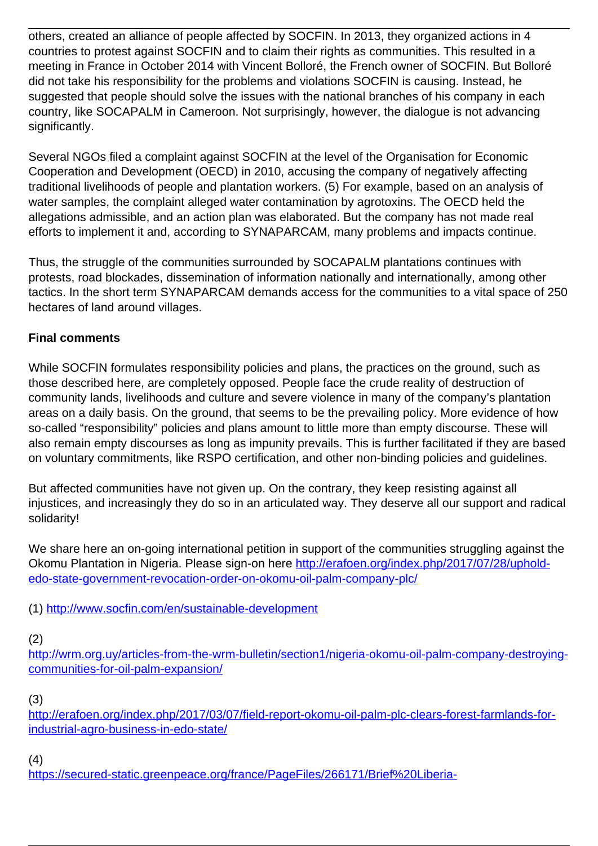others, created an alliance of people affected by SOCFIN. In 2013, they organized actions in 4 countries to protest against SOCFIN and to claim their rights as communities. This resulted in a meeting in France in October 2014 with Vincent Bolloré, the French owner of SOCFIN. But Bolloré did not take his responsibility for the problems and violations SOCFIN is causing. Instead, he suggested that people should solve the issues with the national branches of his company in each country, like SOCAPALM in Cameroon. Not surprisingly, however, the dialogue is not advancing significantly.

Several NGOs filed a complaint against SOCFIN at the level of the Organisation for Economic Cooperation and Development (OECD) in 2010, accusing the company of negatively affecting traditional livelihoods of people and plantation workers. (5) For example, based on an analysis of water samples, the complaint alleged water contamination by agrotoxins. The OECD held the allegations admissible, and an action plan was elaborated. But the company has not made real efforts to implement it and, according to SYNAPARCAM, many problems and impacts continue.

Thus, the struggle of the communities surrounded by SOCAPALM plantations continues with protests, road blockades, dissemination of information nationally and internationally, among other tactics. In the short term SYNAPARCAM demands access for the communities to a vital space of 250 hectares of land around villages.

# **Final comments**

While SOCFIN formulates responsibility policies and plans, the practices on the ground, such as those described here, are completely opposed. People face the crude reality of destruction of community lands, livelihoods and culture and severe violence in many of the company's plantation areas on a daily basis. On the ground, that seems to be the prevailing policy. More evidence of how so-called "responsibility" policies and plans amount to little more than empty discourse. These will also remain empty discourses as long as impunity prevails. This is further facilitated if they are based on voluntary commitments, like RSPO certification, and other non-binding policies and guidelines.

But affected communities have not given up. On the contrary, they keep resisting against all injustices, and increasingly they do so in an articulated way. They deserve all our support and radical solidarity!

We share here an on-going international petition in support of the communities struggling against the Okomu Plantation in Nigeria. Please sign-on here [http://erafoen.org/index.php/2017/07/28/uphold](http://erafoen.org/index.php/2017/07/28/uphold-edo-state-government-revocation-order-on-okomu-oil-palm-company-plc/)[edo-state-government-revocation-order-on-okomu-oil-palm-company-plc/](http://erafoen.org/index.php/2017/07/28/uphold-edo-state-government-revocation-order-on-okomu-oil-palm-company-plc/)

(1)<http://www.socfin.com/en/sustainable-development>

(2)

[http://wrm.org.uy/articles-from-the-wrm-bulletin/section1/nigeria-okomu-oil-palm-company-destroying](http://wrm.org.uy/articles-from-the-wrm-bulletin/section1/nigeria-okomu-oil-palm-company-destroying-communities-for-oil-palm-expansion/)[communities-for-oil-palm-expansion/](http://wrm.org.uy/articles-from-the-wrm-bulletin/section1/nigeria-okomu-oil-palm-company-destroying-communities-for-oil-palm-expansion/)

(3)

[http://erafoen.org/index.php/2017/03/07/field-report-okomu-oil-palm-plc-clears-forest-farmlands-for](http://erafoen.org/index.php/2017/03/07/field-report-okomu-oil-palm-plc-clears-forest-farmlands-for-industrial-agro-business-in-edo-state/)[industrial-agro-business-in-edo-state/](http://erafoen.org/index.php/2017/03/07/field-report-okomu-oil-palm-plc-clears-forest-farmlands-for-industrial-agro-business-in-edo-state/)

(4)

[https://secured-static.greenpeace.org/france/PageFiles/266171/Brief%20Liberia-](https://secured-static.greenpeace.org/france/PageFiles/266171/Brief%20Liberia-Cameroun%20version%20finale.pdf)